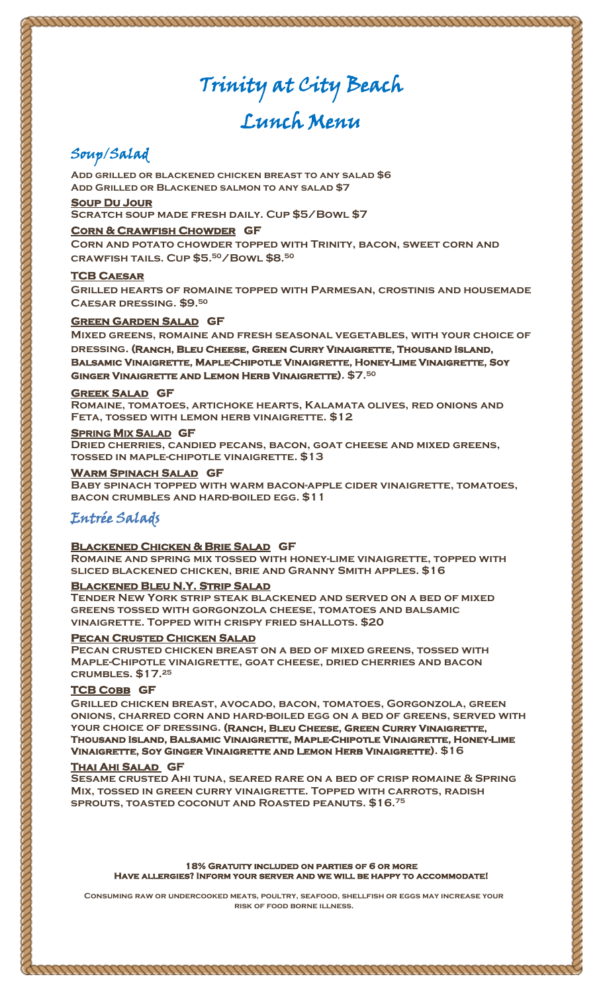# Trinity at City Beach

# Lunch Menu

# Soup/Salad

**Add grilled or blackened chicken breast to any salad \$6 Add Grilled or Blackened salmon to any salad \$7**

#### **Soup Du Jour**

**Scratch soup made fresh daily. Cup \$5/Bowl \$7**

#### **Corn & Crawfish Chowder GF**

**Corn and potato chowder topped with Trinity, bacon, sweet corn and crawfish tails. Cup \$5. <sup>50</sup>/Bowl \$8. 50**

#### **TCB Caesar**

**Grilled hearts of romaine topped with Parmesan, crostinis and housemade Caesar dressing. \$9. 50** 

#### **Green Garden Salad GF**

**Mixed greens, romaine and fresh seasonal vegetables, with your choice of dressing. (Ranch, Bleu Cheese, Green Curry Vinaigrette, Thousand Island, Balsamic Vinaigrette, Maple-Chipotle Vinaigrette, Honey-Lime Vinaigrette, Soy Ginger Vinaigrette and Lemon Herb Vinaigrette). \$7.<sup>50</sup>**

#### **Greek Salad GF**

**Romaine, tomatoes, artichoke hearts, Kalamata olives, red onions and Feta, tossed with lemon herb vinaigrette. \$12**

#### **SPRING MIX SALAD GF**

**Dried cherries, candied pecans, bacon, goat cheese and mixed greens, tossed in maple-chipotle vinaigrette. \$13** 

#### **Warm Spinach Salad GF**

**Baby spinach topped with warm bacon-apple cider vinaigrette, tomatoes, bacon crumbles and hard-boiled egg. \$11**

### Entrée Salads

#### **Blackened Chicken & Brie Salad GF**

**Romaine and spring mix tossed with honey-lime vinaigrette, topped with sliced blackened chicken, brie and Granny Smith apples. \$16** 

#### **Blackened Bleu N.Y. Strip Salad**

**Tender New York strip steak blackened and served on a bed of mixed greens tossed with gorgonzola cheese, tomatoes and balsamic vinaigrette. Topped with crispy fried shallots. \$20**

#### **Pecan Crusted Chicken Salad**

**Pecan crusted chicken breast on a bed of mixed greens, tossed with Maple-Chipotle vinaigrette, goat cheese, dried cherries and bacon crumbles. \$17.<sup>25</sup>**

#### **TCB Cobb GF**

**Grilled chicken breast, avocado, bacon, tomatoes, Gorgonzola, green onions, charred corn and hard-boiled egg on a bed of greens, served with your choice of dressing. (Ranch, Bleu Cheese, Green Curry Vinaigrette, Thousand Island, Balsamic Vinaigrette, Maple-Chipotle Vinaigrette, Honey-Lime Vinaigrette, Soy Ginger Vinaigrette and Lemon Herb Vinaigrette). \$16** 

#### **Thai Ahi Salad GF**

**Sesame crusted Ahi tuna, seared rare on a bed of crisp romaine & Spring Mix, tossed in green curry vinaigrette. Topped with carrots, radish sprouts, toasted coconut and Roasted peanuts. \$16. 75**

**18% Gratuity included on parties of 6 or more Have allergies? Inform your server and we will be happy to accommodate!** 

**Consuming raw or undercooked meats, poultry, seafood, shellfish or eggs may increase your risk of food borne illness.**